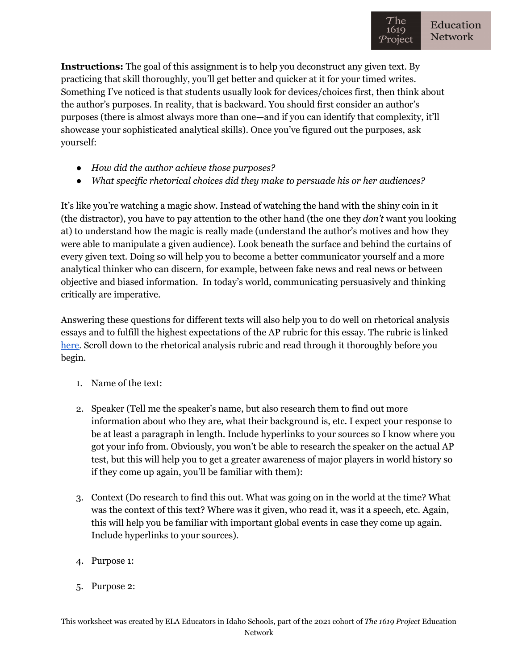**Instructions:** The goal of this assignment is to help you deconstruct any given text. By practicing that skill thoroughly, you'll get better and quicker at it for your timed writes. Something I've noticed is that students usually look for devices/choices first, then think about the author's purposes. In reality, that is backward. You should first consider an author's purposes (there is almost always more than one—and if you can identify that complexity, it'll showcase your sophisticated analytical skills). Once you've figured out the purposes, ask yourself:

- *How did the author achieve those purposes?*
- *What specific rhetorical choices did they make to persuade his or her audiences?*

It's like you're watching a magic show. Instead of watching the hand with the shiny coin in it (the distractor), you have to pay attention to the other hand (the one they *don't* want you looking at) to understand how the magic is really made (understand the author's motives and how they were able to manipulate a given audience). Look beneath the surface and behind the curtains of every given text. Doing so will help you to become a better communicator yourself and a more analytical thinker who can discern, for example, between fake news and real news or between objective and biased information. In today's world, communicating persuasively and thinking critically are imperative.

Answering these questions for different texts will also help you to do well on rhetorical analysis essays and to fulfill the highest expectations of the AP rubric for this essay. The rubric is linked [here.](https://apcentral.collegeboard.org/pdf/ap-english-language-and-composition-frqs-1-2-3-scoring-rubrics.pdf?course=ap-english-language-and-composition) Scroll down to the rhetorical analysis rubric and read through it thoroughly before you begin.

- 1. Name of the text:
- 2. Speaker (Tell me the speaker's name, but also research them to find out more information about who they are, what their background is, etc. I expect your response to be at least a paragraph in length. Include hyperlinks to your sources so I know where you got your info from. Obviously, you won't be able to research the speaker on the actual AP test, but this will help you to get a greater awareness of major players in world history so if they come up again, you'll be familiar with them):
- 3. Context (Do research to find this out. What was going on in the world at the time? What was the context of this text? Where was it given, who read it, was it a speech, etc. Again, this will help you be familiar with important global events in case they come up again. Include hyperlinks to your sources).
- 4. Purpose 1:
- 5. Purpose 2: